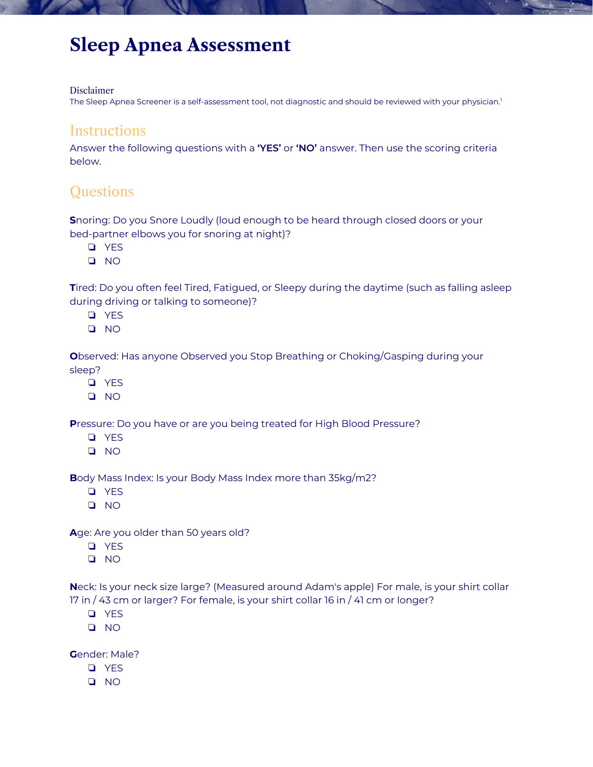# **Sleep Apnea Assessment**

#### Disclaimer

The Sleep Apnea Screener is a self-assessment tool, not diagnostic and should be reviewed with your physician.<sup>1</sup>

#### **Instructions**

Answer the following questions with a **'YES'** or **'NO'** answer. Then use the scoring criteria below.

### **Questions**

**S**noring: Do you Snore Loudly (loud enough to be heard through closed doors or your bed-partner elbows you for snoring at night)?

- ❏ YES
- ❏ NO

**T**ired: Do you often feel Tired, Fatigued, or Sleepy during the daytime (such as falling asleep during driving or talking to someone)?

- ❏ YES
- ❏ NO

**O**bserved: Has anyone Observed you Stop Breathing or Choking/Gasping during your sleep?

- ❏ YES
- ❏ NO

**P**ressure: Do you have or are you being treated for High Blood Pressure?

- ❏ YES
- ❏ NO

**B**ody Mass Index: Is your Body Mass Index more than 35kg/m2?

- ❏ YES
- ❏ NO

**A**ge: Are you older than 50 years old?

- ❏ YES
- ❏ NO

**N**eck: Is your neck size large? (Measured around Adam's apple) For male, is your shirt collar 17 in / 43 cm or larger? For female, is your shirt collar 16 in / 41 cm or longer?

- ❏ YES
- ❏ NO

**G**ender: Male?

- ❏ YES
- ❏ NO